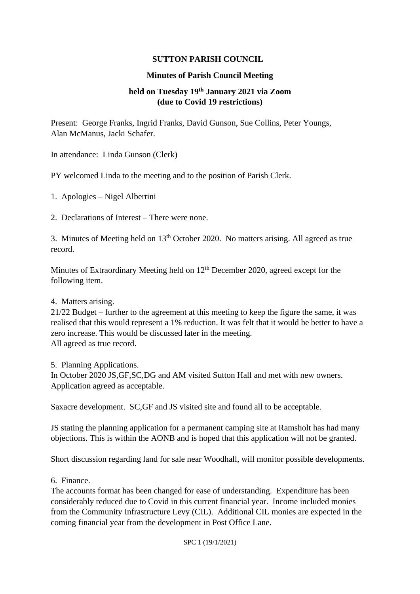## **SUTTON PARISH COUNCIL**

## **Minutes of Parish Council Meeting**

## **held on Tuesday 19th January 2021 via Zoom (due to Covid 19 restrictions)**

Present: George Franks, Ingrid Franks, David Gunson, Sue Collins, Peter Youngs, Alan McManus, Jacki Schafer.

In attendance: Linda Gunson (Clerk)

PY welcomed Linda to the meeting and to the position of Parish Clerk.

1. Apologies – Nigel Albertini

2. Declarations of Interest – There were none.

3. Minutes of Meeting held on  $13<sup>th</sup>$  October 2020. No matters arising. All agreed as true record.

Minutes of Extraordinary Meeting held on  $12<sup>th</sup>$  December 2020, agreed except for the following item.

## 4. Matters arising.

21/22 Budget – further to the agreement at this meeting to keep the figure the same, it was realised that this would represent a 1% reduction. It was felt that it would be better to have a zero increase. This would be discussed later in the meeting. All agreed as true record.

5. Planning Applications.

In October 2020 JS,GF,SC,DG and AM visited Sutton Hall and met with new owners. Application agreed as acceptable.

Saxacre development. SC,GF and JS visited site and found all to be acceptable.

JS stating the planning application for a permanent camping site at Ramsholt has had many objections. This is within the AONB and is hoped that this application will not be granted.

Short discussion regarding land for sale near Woodhall, will monitor possible developments.

6. Finance.

The accounts format has been changed for ease of understanding. Expenditure has been considerably reduced due to Covid in this current financial year. Income included monies from the Community Infrastructure Levy (CIL). Additional CIL monies are expected in the coming financial year from the development in Post Office Lane.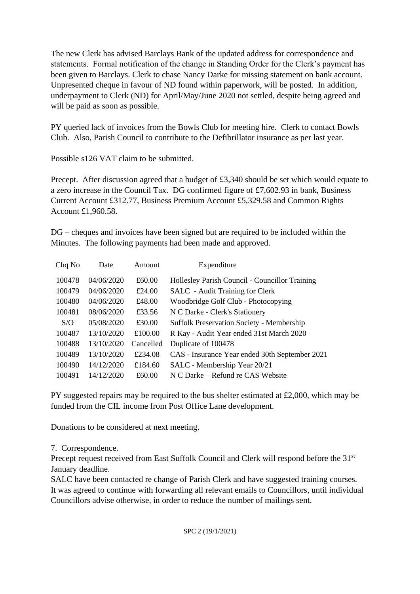The new Clerk has advised Barclays Bank of the updated address for correspondence and statements. Formal notification of the change in Standing Order for the Clerk's payment has been given to Barclays. Clerk to chase Nancy Darke for missing statement on bank account. Unpresented cheque in favour of ND found within paperwork, will be posted. In addition, underpayment to Clerk (ND) for April/May/June 2020 not settled, despite being agreed and will be paid as soon as possible.

PY queried lack of invoices from the Bowls Club for meeting hire. Clerk to contact Bowls Club. Also, Parish Council to contribute to the Defibrillator insurance as per last year.

Possible s126 VAT claim to be submitted.

Precept. After discussion agreed that a budget of  $\text{\pounds}3,340$  should be set which would equate to a zero increase in the Council Tax. DG confirmed figure of £7,602.93 in bank, Business Current Account £312.77, Business Premium Account £5,329.58 and Common Rights Account £1,960.58.

DG – cheques and invoices have been signed but are required to be included within the Minutes. The following payments had been made and approved.

| Date       | Amount    | Expenditure                                      |
|------------|-----------|--------------------------------------------------|
| 04/06/2020 | £60.00    | Hollesley Parish Council - Councillor Training   |
| 04/06/2020 | £24.00    | SALC - Audit Training for Clerk                  |
| 04/06/2020 | £48.00    | Woodbridge Golf Club - Photocopying              |
| 08/06/2020 | £33.56    | N C Darke - Clerk's Stationery                   |
| 05/08/2020 | £30.00    | <b>Suffolk Preservation Society - Membership</b> |
| 13/10/2020 | £100.00   | R Kay - Audit Year ended 31st March 2020         |
| 13/10/2020 | Cancelled | Duplicate of 100478                              |
| 13/10/2020 | £234.08   | CAS - Insurance Year ended 30th September 2021   |
| 14/12/2020 | £184.60   | SALC - Membership Year 20/21                     |
| 14/12/2020 | £60.00    | N C Darke – Refund re CAS Website                |
|            |           |                                                  |

PY suggested repairs may be required to the bus shelter estimated at £2,000, which may be funded from the CIL income from Post Office Lane development.

Donations to be considered at next meeting.

7. Correspondence.

Precept request received from East Suffolk Council and Clerk will respond before the 31<sup>st</sup> January deadline.

SALC have been contacted re change of Parish Clerk and have suggested training courses. It was agreed to continue with forwarding all relevant emails to Councillors, until individual Councillors advise otherwise, in order to reduce the number of mailings sent.